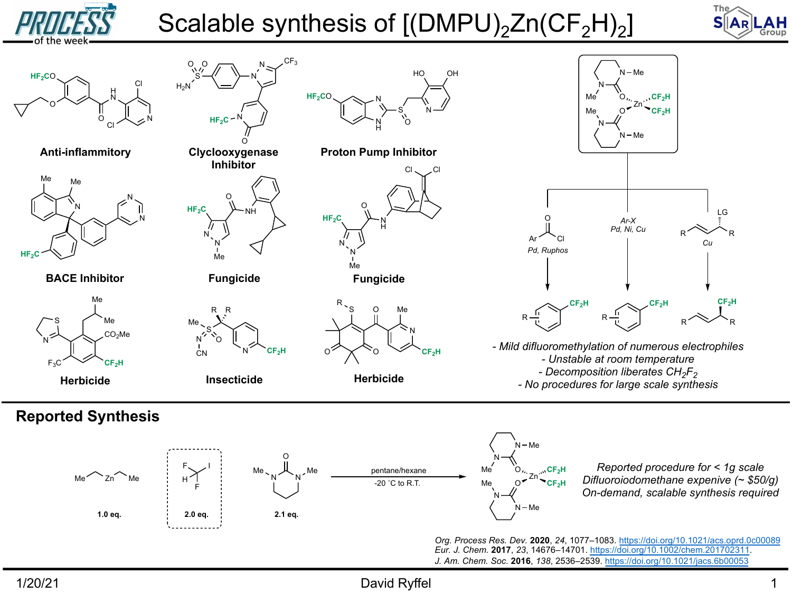## Scalable synthesis of  $[(DMPU)<sub>2</sub>Zn(CF<sub>2</sub>H)<sub>2</sub>]$



1/20/21 **David Ryffel David Ryffel**